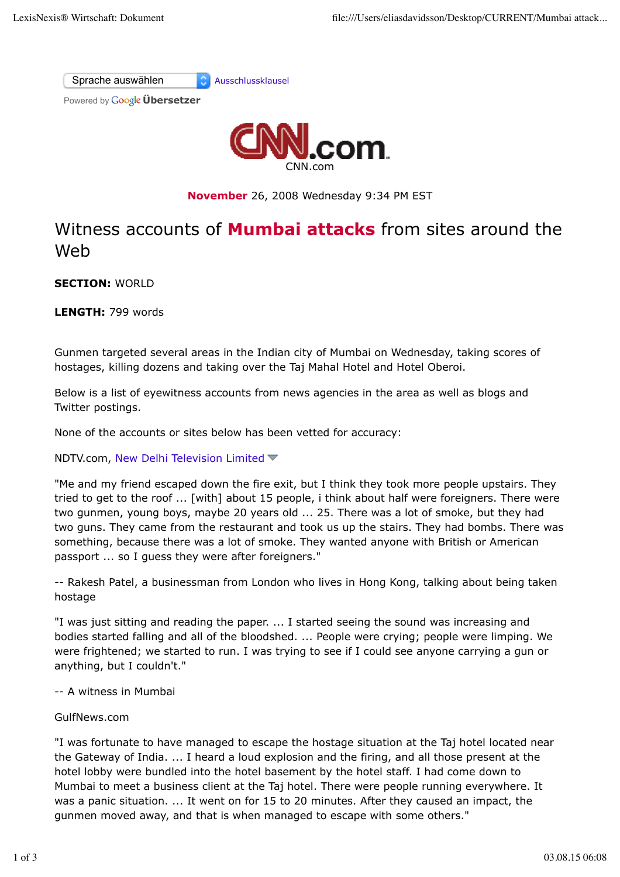Sprache auswählen Ausschlussklausel

Powered by **Google Übersetzer** 



**November** 26, 2008 Wednesday 9:34 PM EST

# Witness accounts of **Mumbai attacks** from sites around the Web

**SECTION:** WORLD

**LENGTH:** 799 words

Gunmen targeted several areas in the Indian city of Mumbai on Wednesday, taking scores of hostages, killing dozens and taking over the Taj Mahal Hotel and Hotel Oberoi.

Below is a list of eyewitness accounts from news agencies in the area as well as blogs and Twitter postings.

None of the accounts or sites below has been vetted for accuracy:

NDTV.com, New Delhi Television Limited

"Me and my friend escaped down the fire exit, but I think they took more people upstairs. They tried to get to the roof ... [with] about 15 people, i think about half were foreigners. There were two gunmen, young boys, maybe 20 years old ... 25. There was a lot of smoke, but they had two guns. They came from the restaurant and took us up the stairs. They had bombs. There was something, because there was a lot of smoke. They wanted anyone with British or American passport ... so I guess they were after foreigners."

-- Rakesh Patel, a businessman from London who lives in Hong Kong, talking about being taken hostage

"I was just sitting and reading the paper. ... I started seeing the sound was increasing and bodies started falling and all of the bloodshed. ... People were crying; people were limping. We were frightened; we started to run. I was trying to see if I could see anyone carrying a gun or anything, but I couldn't."

-- A witness in Mumbai

# GulfNews.com

"I was fortunate to have managed to escape the hostage situation at the Taj hotel located near the Gateway of India. ... I heard a loud explosion and the firing, and all those present at the hotel lobby were bundled into the hotel basement by the hotel staff. I had come down to Mumbai to meet a business client at the Taj hotel. There were people running everywhere. It was a panic situation. ... It went on for 15 to 20 minutes. After they caused an impact, the gunmen moved away, and that is when managed to escape with some others."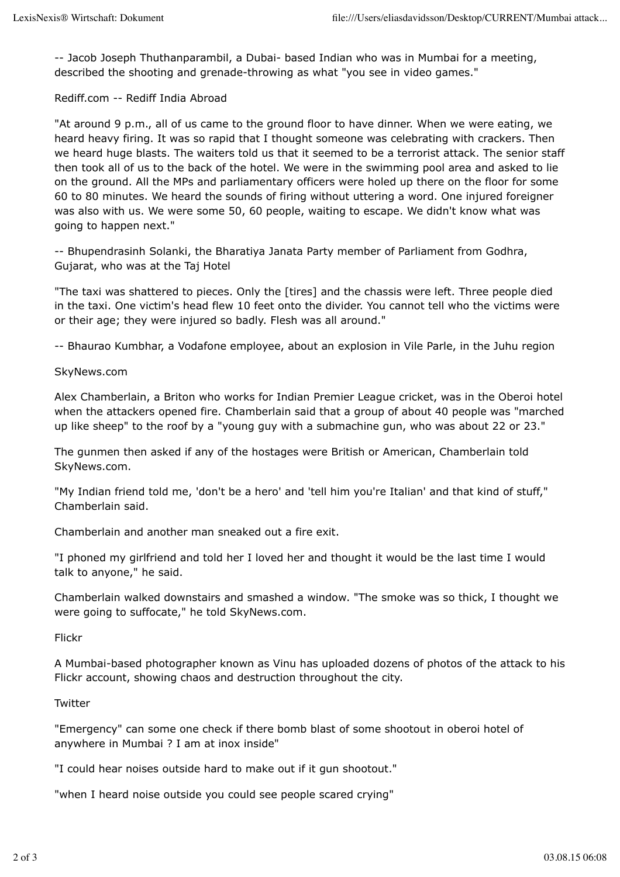-- Jacob Joseph Thuthanparambil, a Dubai- based Indian who was in Mumbai for a meeting, described the shooting and grenade-throwing as what "you see in video games."

# Rediff.com -- Rediff India Abroad

"At around 9 p.m., all of us came to the ground floor to have dinner. When we were eating, we heard heavy firing. It was so rapid that I thought someone was celebrating with crackers. Then we heard huge blasts. The waiters told us that it seemed to be a terrorist attack. The senior staff then took all of us to the back of the hotel. We were in the swimming pool area and asked to lie on the ground. All the MPs and parliamentary officers were holed up there on the floor for some 60 to 80 minutes. We heard the sounds of firing without uttering a word. One injured foreigner was also with us. We were some 50, 60 people, waiting to escape. We didn't know what was going to happen next."

-- Bhupendrasinh Solanki, the Bharatiya Janata Party member of Parliament from Godhra, Gujarat, who was at the Taj Hotel

"The taxi was shattered to pieces. Only the [tires] and the chassis were left. Three people died in the taxi. One victim's head flew 10 feet onto the divider. You cannot tell who the victims were or their age; they were injured so badly. Flesh was all around."

-- Bhaurao Kumbhar, a Vodafone employee, about an explosion in Vile Parle, in the Juhu region

# SkyNews.com

Alex Chamberlain, a Briton who works for Indian Premier League cricket, was in the Oberoi hotel when the attackers opened fire. Chamberlain said that a group of about 40 people was "marched up like sheep" to the roof by a "young guy with a submachine gun, who was about 22 or 23."

The gunmen then asked if any of the hostages were British or American, Chamberlain told SkyNews.com.

"My Indian friend told me, 'don't be a hero' and 'tell him you're Italian' and that kind of stuff," Chamberlain said.

Chamberlain and another man sneaked out a fire exit.

"I phoned my girlfriend and told her I loved her and thought it would be the last time I would talk to anyone," he said.

Chamberlain walked downstairs and smashed a window. "The smoke was so thick, I thought we were going to suffocate," he told SkyNews.com.

Flickr

A Mumbai-based photographer known as Vinu has uploaded dozens of photos of the attack to his Flickr account, showing chaos and destruction throughout the city.

# **Twitter**

"Emergency" can some one check if there bomb blast of some shootout in oberoi hotel of anywhere in Mumbai ? I am at inox inside"

"I could hear noises outside hard to make out if it gun shootout."

"when I heard noise outside you could see people scared crying"